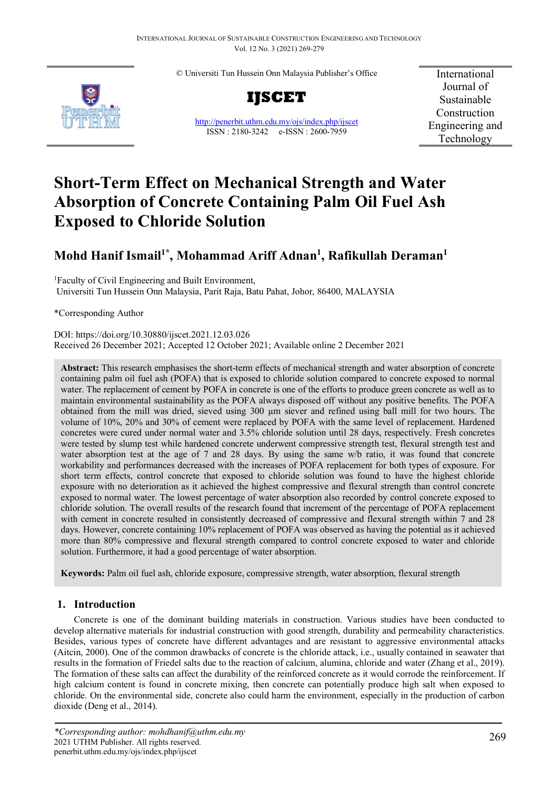© Universiti Tun Hussein Onn Malaysia Publisher's Office



**IJSCET**

<http://penerbit.uthm.edu.my/ojs/index.php/ijscet> ISSN : 2180-3242 e-ISSN : 2600-7959

International Journal of Sustainable Construction Engineering and Technology

# **Short-Term Effect on Mechanical Strength and Water Absorption of Concrete Containing Palm Oil Fuel Ash Exposed to Chloride Solution**

# **Mohd Hanif Ismail1\* , Mohammad Ariff Adnan1 , Rafikullah Deraman1**

<sup>1</sup> Faculty of Civil Engineering and Built Environment, Universiti Tun Hussein Onn Malaysia, Parit Raja, Batu Pahat, Johor, 86400, MALAYSIA

\*Corresponding Author

DOI: https://doi.org/10.30880/ijscet.2021.12.03.026 Received 26 December 2021; Accepted 12 October 2021; Available online 2 December 2021

**Abstract:** This research emphasises the short-term effects of mechanical strength and water absorption of concrete containing palm oil fuel ash (POFA) that is exposed to chloride solution compared to concrete exposed to normal water. The replacement of cement by POFA in concrete is one of the efforts to produce green concrete as well as to maintain environmental sustainability as the POFA always disposed off without any positive benefits. The POFA obtained from the mill was dried, sieved using 300 µm siever and refined using ball mill for two hours. The volume of 10%, 20% and 30% of cement were replaced by POFA with the same level of replacement. Hardened concretes were cured under normal water and 3.5% chloride solution until 28 days, respectively. Fresh concretes were tested by slump test while hardened concrete underwent compressive strength test, flexural strength test and water absorption test at the age of 7 and 28 days. By using the same w/b ratio, it was found that concrete workability and performances decreased with the increases of POFA replacement for both types of exposure. For short term effects, control concrete that exposed to chloride solution was found to have the highest chloride exposure with no deterioration as it achieved the highest compressive and flexural strength than control concrete exposed to normal water. The lowest percentage of water absorption also recorded by control concrete exposed to chloride solution. The overall results of the research found that increment of the percentage of POFA replacement with cement in concrete resulted in consistently decreased of compressive and flexural strength within 7 and 28 days. However, concrete containing 10% replacement of POFA was observed as having the potential as it achieved more than 80% compressive and flexural strength compared to control concrete exposed to water and chloride solution. Furthermore, it had a good percentage of water absorption.

**Keywords:** Palm oil fuel ash, chloride exposure, compressive strength, water absorption, flexural strength

# **1. Introduction**

Concrete is one of the dominant building materials in construction. Various studies have been conducted to develop alternative materials for industrial construction with good strength, durability and permeability characteristics. Besides, various types of concrete have different advantages and are resistant to aggressive environmental attacks (Aitcin, 2000). One of the common drawbacks of concrete is the chloride attack, i.e., usually contained in seawater that results in the formation of Friedel salts due to the reaction of calcium, alumina, chloride and water (Zhang et al., 2019). The formation of these salts can affect the durability of the reinforced concrete as it would corrode the reinforcement. If high calcium content is found in concrete mixing, then concrete can potentially produce high salt when exposed to chloride. On the environmental side, concrete also could harm the environment, especially in the production of carbon dioxide (Deng et al., 2014).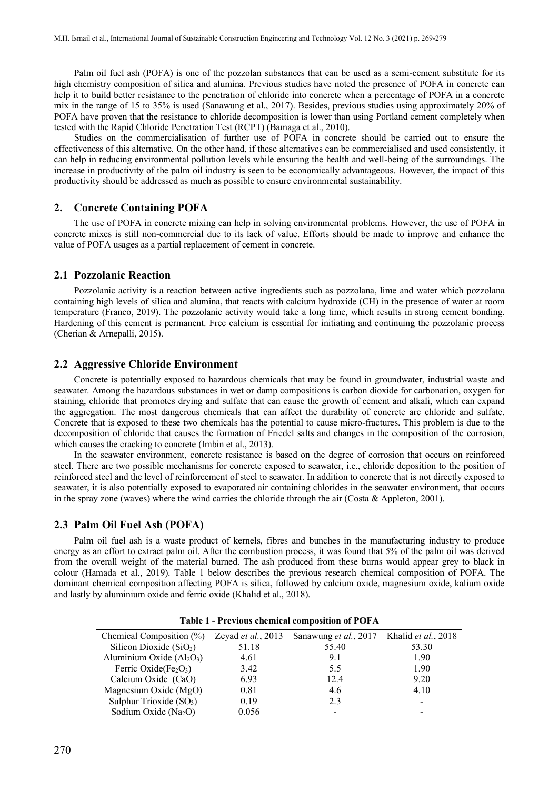Palm oil fuel ash (POFA) is one of the pozzolan substances that can be used as a semi-cement substitute for its high chemistry composition of silica and alumina. Previous studies have noted the presence of POFA in concrete can help it to build better resistance to the penetration of chloride into concrete when a percentage of POFA in a concrete mix in the range of 15 to 35% is used (Sanawung et al., 2017). Besides, previous studies using approximately 20% of POFA have proven that the resistance to chloride decomposition is lower than using Portland cement completely when tested with the Rapid Chloride Penetration Test (RCPT) (Bamaga et al., 2010).

Studies on the commercialisation of further use of POFA in concrete should be carried out to ensure the effectiveness of this alternative. On the other hand, if these alternatives can be commercialised and used consistently, it can help in reducing environmental pollution levels while ensuring the health and well-being of the surroundings. The increase in productivity of the palm oil industry is seen to be economically advantageous. However, the impact of this productivity should be addressed as much as possible to ensure environmental sustainability.

#### **2. Concrete Containing POFA**

The use of POFA in concrete mixing can help in solving environmental problems. However, the use of POFA in concrete mixes is still non-commercial due to its lack of value. Efforts should be made to improve and enhance the value of POFA usages as a partial replacement of cement in concrete.

# **2.1 Pozzolanic Reaction**

Pozzolanic activity is a reaction between active ingredients such as pozzolana, lime and water which pozzolana containing high levels of silica and alumina, that reacts with calcium hydroxide (CH) in the presence of water at room temperature (Franco, 2019). The pozzolanic activity would take a long time, which results in strong cement bonding. Hardening of this cement is permanent. Free calcium is essential for initiating and continuing the pozzolanic process (Cherian & Arnepalli, 2015).

# **2.2 Aggressive Chloride Environment**

Concrete is potentially exposed to hazardous chemicals that may be found in groundwater, industrial waste and seawater. Among the hazardous substances in wet or damp compositions is carbon dioxide for carbonation, oxygen for staining, chloride that promotes drying and sulfate that can cause the growth of cement and alkali, which can expand the aggregation. The most dangerous chemicals that can affect the durability of concrete are chloride and sulfate. Concrete that is exposed to these two chemicals has the potential to cause micro-fractures. This problem is due to the decomposition of chloride that causes the formation of Friedel salts and changes in the composition of the corrosion, which causes the cracking to concrete (Imbin et al., 2013).

In the seawater environment, concrete resistance is based on the degree of corrosion that occurs on reinforced steel. There are two possible mechanisms for concrete exposed to seawater, i.e., chloride deposition to the position of reinforced steel and the level of reinforcement of steel to seawater. In addition to concrete that is not directly exposed to seawater, it is also potentially exposed to evaporated air containing chlorides in the seawater environment, that occurs in the spray zone (waves) where the wind carries the chloride through the air (Costa & Appleton, 2001).

#### **2.3 Palm Oil Fuel Ash (POFA)**

Palm oil fuel ash is a waste product of kernels, fibres and bunches in the manufacturing industry to produce energy as an effort to extract palm oil. After the combustion process, it was found that 5% of the palm oil was derived from the overall weight of the material burned. The ash produced from these burns would appear grey to black in colour (Hamada et al., 2019). Table 1 below describes the previous research chemical composition of POFA. The dominant chemical composition affecting POFA is silica, followed by calcium oxide, magnesium oxide, kalium oxide and lastly by aluminium oxide and ferric oxide (Khalid et al., 2018).

| Chemical Composition $(\%)$      | Zeyad et al., 2013 | Sanawung et al., 2017 Khalid et al., 2018 |       |
|----------------------------------|--------------------|-------------------------------------------|-------|
| Silicon Dioxide $(SiO2)$         | 51.18              | 55.40                                     | 53.30 |
| Aluminium Oxide $(Al2O3)$        | 4.61               | 9.1                                       | 1.90  |
| Ferric Oxide $(Fe2O3)$           | 3.42               | 5.5                                       | 1.90  |
| Calcium Oxide (CaO)              | 6.93               | 12.4                                      | 9.20  |
| Magnesium Oxide (MgO)            | 0.81               | 4.6                                       | 4.10  |
| Sulphur Trioxide $(SO3)$         | 0.19               | 2.3                                       |       |
| Sodium Oxide (Na <sub>2</sub> O) | 0.056              |                                           |       |

**Table 1 - Previous chemical composition of POFA**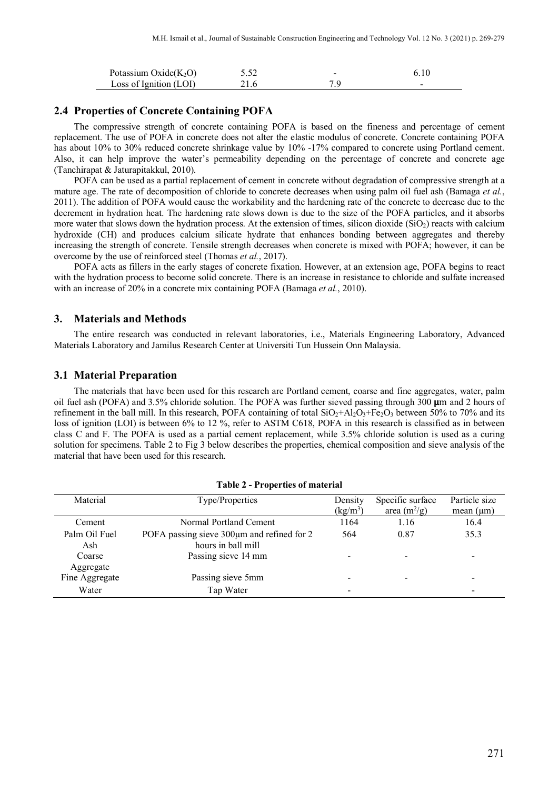| Potassium Oxide $(K_2O)$ |      | - |  |
|--------------------------|------|---|--|
| Loss of Ignition $(LOI)$ | 21.6 |   |  |

# **2.4 Properties of Concrete Containing POFA**

The compressive strength of concrete containing POFA is based on the fineness and percentage of cement replacement. The use of POFA in concrete does not alter the elastic modulus of concrete. Concrete containing POFA has about 10% to 30% reduced concrete shrinkage value by 10% -17% compared to concrete using Portland cement. Also, it can help improve the water's permeability depending on the percentage of concrete and concrete age (Tanchirapat & Jaturapitakkul, 2010).

POFA can be used as a partial replacement of cement in concrete without degradation of compressive strength at a mature age. The rate of decomposition of chloride to concrete decreases when using palm oil fuel ash (Bamaga *et al.*, 2011). The addition of POFA would cause the workability and the hardening rate of the concrete to decrease due to the decrement in hydration heat. The hardening rate slows down is due to the size of the POFA particles, and it absorbs more water that slows down the hydration process. At the extension of times, silicon dioxide  $(SiO<sub>2</sub>)$  reacts with calcium hydroxide (CH) and produces calcium silicate hydrate that enhances bonding between aggregates and thereby increasing the strength of concrete. Tensile strength decreases when concrete is mixed with POFA; however, it can be overcome by the use of reinforced steel (Thomas *et al.*, 2017).

POFA acts as fillers in the early stages of concrete fixation. However, at an extension age, POFA begins to react with the hydration process to become solid concrete. There is an increase in resistance to chloride and sulfate increased with an increase of 20% in a concrete mix containing POFA (Bamaga *et al.*, 2010).

#### **3. Materials and Methods**

The entire research was conducted in relevant laboratories, i.e., Materials Engineering Laboratory, Advanced Materials Laboratory and Jamilus Research Center at Universiti Tun Hussein Onn Malaysia.

#### **3.1 Material Preparation**

The materials that have been used for this research are Portland cement, coarse and fine aggregates, water, palm oil fuel ash (POFA) and 3.5% chloride solution. The POFA was further sieved passing through 300 µm and 2 hours of refinement in the ball mill. In this research, POFA containing of total  $SiO_2+AI_2O_3+Fe_2O_3$  between 50% to 70% and its loss of ignition (LOI) is between 6% to 12 %, refer to ASTM C618, POFA in this research is classified as in between class C and F. The POFA is used as a partial cement replacement, while 3.5% chloride solution is used as a curing solution for specimens. Table 2 to Fig 3 below describes the properties, chemical composition and sieve analysis of the material that have been used for this research.

| Material                    | Type/Properties                                                  | Density    | Specific surface | Particle size            |
|-----------------------------|------------------------------------------------------------------|------------|------------------|--------------------------|
|                             |                                                                  | $(kg/m^3)$ | area $(m^2/g)$   | mean $(\mu m)$           |
| Cement                      | Normal Portland Cement                                           | 1164       | 1.16             | 16.4                     |
| Palm Oil Fuel<br>Ash        | POFA passing sieve 300µm and refined for 2<br>hours in ball mill | 564        | 0.87             | 35.3                     |
| Coarse                      | Passing sieve 14 mm                                              |            |                  |                          |
| Aggregate<br>Fine Aggregate | Passing sieve 5mm                                                |            |                  |                          |
| Water                       | Tap Water                                                        |            |                  | $\overline{\phantom{0}}$ |

#### **Table 2 - Properties of material**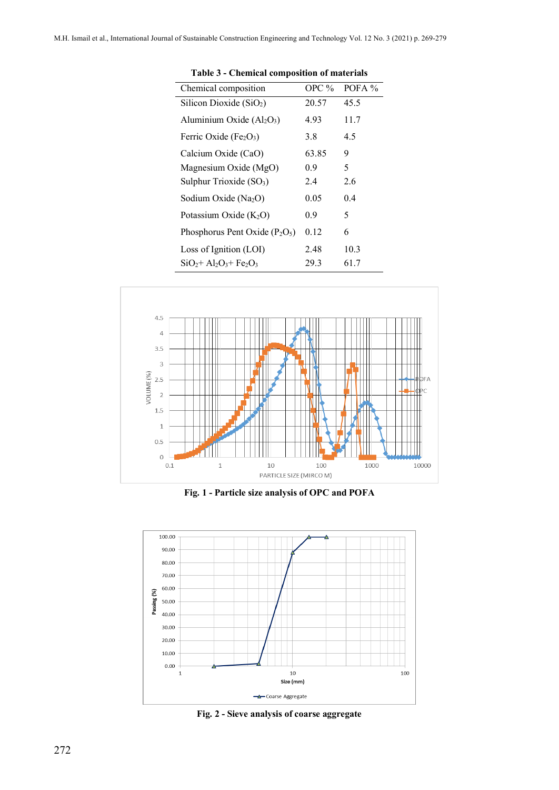l,

| Chemical composition                | OPC $%$ | POFA $%$ |
|-------------------------------------|---------|----------|
| Silicon Dioxide $(SiO2)$            | 20.57   | 45.5     |
| Aluminium Oxide $(Al2O3)$           | 4.93    | 11.7     |
| Ferric Oxide ( $Fe2O3$ )            | 3.8     | 4.5      |
| Calcium Oxide (CaO)                 | 63.85   | 9        |
| Magnesium Oxide (MgO)               | 0.9     | 5        |
| Sulphur Trioxide (SO <sub>3</sub> ) | 2.4     | 2.6      |
| Sodium Oxide (Na2O)                 | 0.05    | 0.4      |
| Potassium Oxide $(K_2O)$            | 0.9     | 5        |
| Phosphorus Pent Oxide $(P_2O_5)$    | 0.12    | 6        |
| Loss of Ignition (LOI)              | 2.48    | 10.3     |
| $SiO2 + Al2O3 + Fe2O3$              | 29.3    | 61.7     |

**Table 3 - Chemical composition of materials**



**Fig. 1 - Particle size analysis of OPC and POFA**



**Fig. 2 - Sieve analysis of coarse aggregate**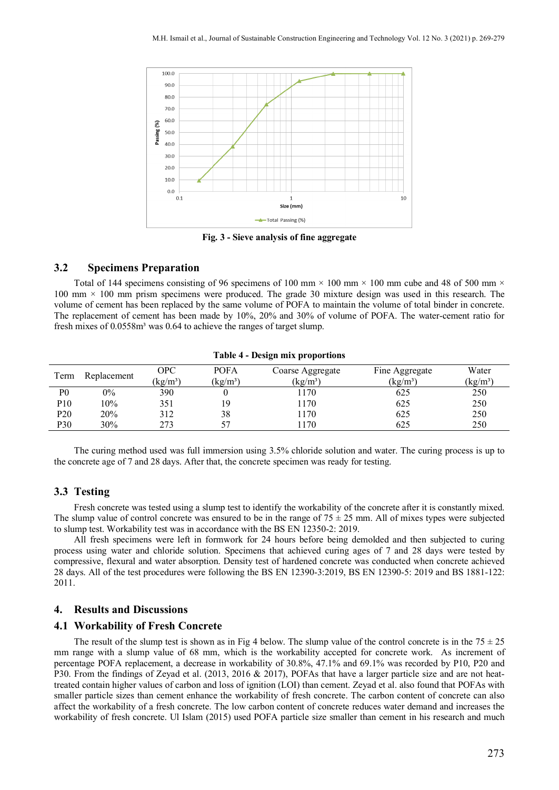

**Fig. 3 - Sieve analysis of fine aggregate**

# **3.2 Specimens Preparation**

Total of 144 specimens consisting of 96 specimens of 100 mm  $\times$  100 mm  $\times$  100 mm cube and 48 of 500 mm  $\times$ 100 mm × 100 mm prism specimens were produced. The grade 30 mixture design was used in this research. The volume of cement has been replaced by the same volume of POFA to maintain the volume of total binder in concrete. The replacement of cement has been made by 10%, 20% and 30% of volume of POFA. The water-cement ratio for fresh mixes of 0.0558m<sup>3</sup> was 0.64 to achieve the ranges of target slump.

|                     |       |            |                                | .                |                |                 |
|---------------------|-------|------------|--------------------------------|------------------|----------------|-----------------|
| Replacement<br>Term |       | OPC        | <b>POFA</b>                    | Coarse Aggregate | Fine Aggregate | Water           |
|                     |       | $(kg/m^3)$ | $\frac{\text{kg}}{\text{m}^3}$ | $(kg/m^3)$       | $(kg/m^3)$     | $\text{kg/m}^3$ |
| P <sub>0</sub>      | $0\%$ | 390        |                                | 1170             | 625            | 250             |
| P10                 | 10%   | 351        | 19                             | 170              | 625            | 250             |
| P <sub>20</sub>     | 20%   | 312        | 38                             | 170              | 625            | 250             |
| P30                 | 30%   | 273        | 57                             | 170              | 625            | 250             |

**Table 4 - Design mix proportions**

The curing method used was full immersion using 3.5% chloride solution and water. The curing process is up to the concrete age of 7 and 28 days. After that, the concrete specimen was ready for testing.

# **3.3 Testing**

Fresh concrete was tested using a slump test to identify the workability of the concrete after it is constantly mixed. The slump value of control concrete was ensured to be in the range of  $75 \pm 25$  mm. All of mixes types were subjected to slump test. Workability test was in accordance with the BS EN 12350-2: 2019.

All fresh specimens were left in formwork for 24 hours before being demolded and then subjected to curing process using water and chloride solution. Specimens that achieved curing ages of 7 and 28 days were tested by compressive, flexural and water absorption. Density test of hardened concrete was conducted when concrete achieved 28 days. All of the test procedures were following the BS EN 12390-3:2019, BS EN 12390-5: 2019 and BS 1881-122: 2011.

# **4. Results and Discussions**

#### **4.1 Workability of Fresh Concrete**

The result of the slump test is shown as in Fig 4 below. The slump value of the control concrete is in the  $75 \pm 25$ mm range with a slump value of 68 mm, which is the workability accepted for concrete work. As increment of percentage POFA replacement, a decrease in workability of 30.8%, 47.1% and 69.1% was recorded by P10, P20 and P30. From the findings of Zeyad et al. (2013, 2016 & 2017), POFAs that have a larger particle size and are not heattreated contain higher values of carbon and loss of ignition (LOI) than cement. Zeyad et al. also found that POFAs with smaller particle sizes than cement enhance the workability of fresh concrete. The carbon content of concrete can also affect the workability of a fresh concrete. The low carbon content of concrete reduces water demand and increases the workability of fresh concrete. Ul Islam (2015) used POFA particle size smaller than cement in his research and much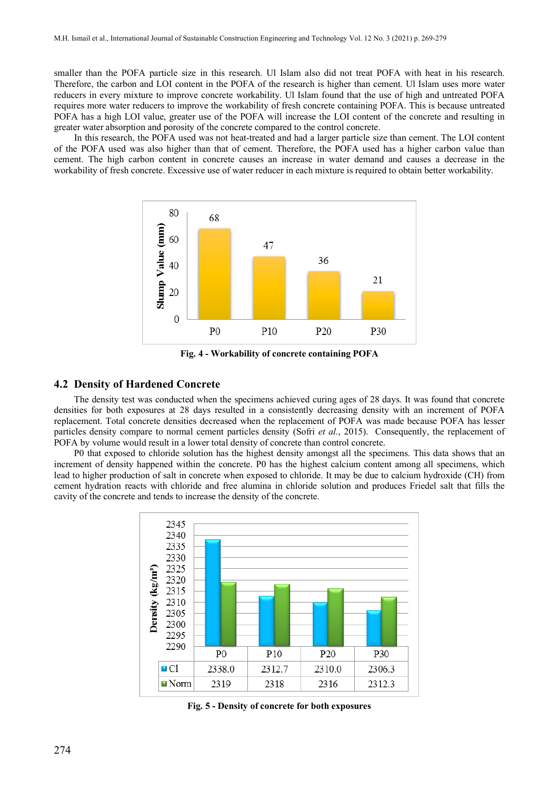smaller than the POFA particle size in this research. Ul Islam also did not treat POFA with heat in his research. Therefore, the carbon and LOI content in the POFA of the research is higher than cement. Ul Islam uses more water reducers in every mixture to improve concrete workability. Ul Islam found that the use of high and untreated POFA requires more water reducers to improve the workability of fresh concrete containing POFA. This is because untreated POFA has a high LOI value, greater use of the POFA will increase the LOI content of the concrete and resulting in greater water absorption and porosity of the concrete compared to the control concrete.

In this research, the POFA used was not heat-treated and had a larger particle size than cement. The LOI content of the POFA used was also higher than that of cement. Therefore, the POFA used has a higher carbon value than cement. The high carbon content in concrete causes an increase in water demand and causes a decrease in the workability of fresh concrete. Excessive use of water reducer in each mixture is required to obtain better workability.



**Fig. 4 - Workability of concrete containing POFA**

# **4.2 Density of Hardened Concrete**

The density test was conducted when the specimens achieved curing ages of 28 days. It was found that concrete densities for both exposures at 28 days resulted in a consistently decreasing density with an increment of POFA replacement. Total concrete densities decreased when the replacement of POFA was made because POFA has lesser particles density compare to normal cement particles density (Sofri *et al.*, 2015). Consequently, the replacement of POFA by volume would result in a lower total density of concrete than control concrete.

P0 that exposed to chloride solution has the highest density amongst all the specimens. This data shows that an increment of density happened within the concrete. P0 has the highest calcium content among all specimens, which lead to higher production of salt in concrete when exposed to chloride. It may be due to calcium hydroxide (CH) from cement hydration reacts with chloride and free alumina in chloride solution and produces Friedel salt that fills the cavity of the concrete and tends to increase the density of the concrete.



**Fig. 5 - Density of concrete for both exposures**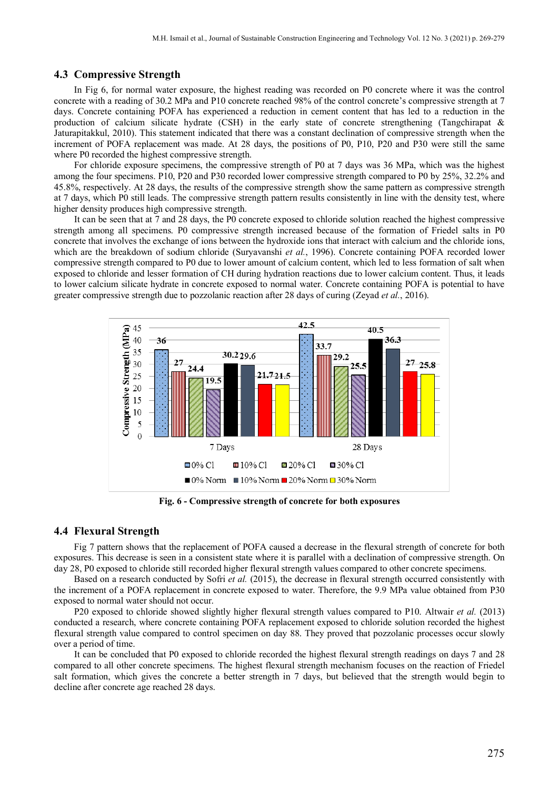### **4.3 Compressive Strength**

In Fig 6, for normal water exposure, the highest reading was recorded on P0 concrete where it was the control concrete with a reading of 30.2 MPa and P10 concrete reached 98% of the control concrete's compressive strength at 7 days. Concrete containing POFA has experienced a reduction in cement content that has led to a reduction in the production of calcium silicate hydrate (CSH) in the early state of concrete strengthening (Tangchirapat & Jaturapitakkul, 2010). This statement indicated that there was a constant declination of compressive strength when the increment of POFA replacement was made. At 28 days, the positions of P0, P10, P20 and P30 were still the same where P0 recorded the highest compressive strength.

For chloride exposure specimens, the compressive strength of P0 at 7 days was 36 MPa, which was the highest among the four specimens. P10, P20 and P30 recorded lower compressive strength compared to P0 by 25%, 32.2% and 45.8%, respectively. At 28 days, the results of the compressive strength show the same pattern as compressive strength at 7 days, which P0 still leads. The compressive strength pattern results consistently in line with the density test, where higher density produces high compressive strength.

It can be seen that at 7 and 28 days, the P0 concrete exposed to chloride solution reached the highest compressive strength among all specimens. P0 compressive strength increased because of the formation of Friedel salts in P0 concrete that involves the exchange of ions between the hydroxide ions that interact with calcium and the chloride ions, which are the breakdown of sodium chloride (Suryavanshi *et al.*, 1996). Concrete containing POFA recorded lower compressive strength compared to P0 due to lower amount of calcium content, which led to less formation of salt when exposed to chloride and lesser formation of CH during hydration reactions due to lower calcium content. Thus, it leads to lower calcium silicate hydrate in concrete exposed to normal water. Concrete containing POFA is potential to have greater compressive strength due to pozzolanic reaction after 28 days of curing (Zeyad *et al.*, 2016).



**Fig. 6 - Compressive strength of concrete for both exposures**

#### **4.4 Flexural Strength**

Fig 7 pattern shows that the replacement of POFA caused a decrease in the flexural strength of concrete for both exposures. This decrease is seen in a consistent state where it is parallel with a declination of compressive strength. On day 28, P0 exposed to chloride still recorded higher flexural strength values compared to other concrete specimens.

Based on a research conducted by Sofri *et al.* (2015), the decrease in flexural strength occurred consistently with the increment of a POFA replacement in concrete exposed to water. Therefore, the 9.9 MPa value obtained from P30 exposed to normal water should not occur.

P20 exposed to chloride showed slightly higher flexural strength values compared to P10. Altwair *et al.* (2013) conducted a research, where concrete containing POFA replacement exposed to chloride solution recorded the highest flexural strength value compared to control specimen on day 88. They proved that pozzolanic processes occur slowly over a period of time.

It can be concluded that P0 exposed to chloride recorded the highest flexural strength readings on days 7 and 28 compared to all other concrete specimens. The highest flexural strength mechanism focuses on the reaction of Friedel salt formation, which gives the concrete a better strength in 7 days, but believed that the strength would begin to decline after concrete age reached 28 days.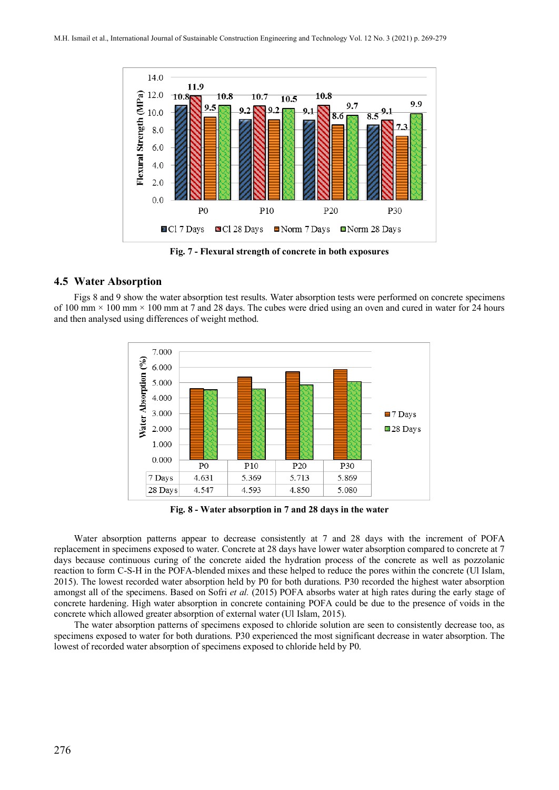

**Fig. 7 - Flexural strength of concrete in both exposures**

## **4.5 Water Absorption**

Figs 8 and 9 show the water absorption test results. Water absorption tests were performed on concrete specimens of 100 mm  $\times$  100 mm  $\times$  100 mm at 7 and 28 days. The cubes were dried using an oven and cured in water for 24 hours and then analysed using differences of weight method.



**Fig. 8 - Water absorption in 7 and 28 days in the water**

Water absorption patterns appear to decrease consistently at 7 and 28 days with the increment of POFA replacement in specimens exposed to water. Concrete at 28 days have lower water absorption compared to concrete at 7 days because continuous curing of the concrete aided the hydration process of the concrete as well as pozzolanic reaction to form C-S-H in the POFA-blended mixes and these helped to reduce the pores within the concrete (Ul Islam, 2015). The lowest recorded water absorption held by P0 for both durations. P30 recorded the highest water absorption amongst all of the specimens. Based on Sofri *et al.* (2015) POFA absorbs water at high rates during the early stage of concrete hardening. High water absorption in concrete containing POFA could be due to the presence of voids in the concrete which allowed greater absorption of external water (Ul Islam, 2015).

The water absorption patterns of specimens exposed to chloride solution are seen to consistently decrease too, as specimens exposed to water for both durations. P30 experienced the most significant decrease in water absorption. The lowest of recorded water absorption of specimens exposed to chloride held by P0.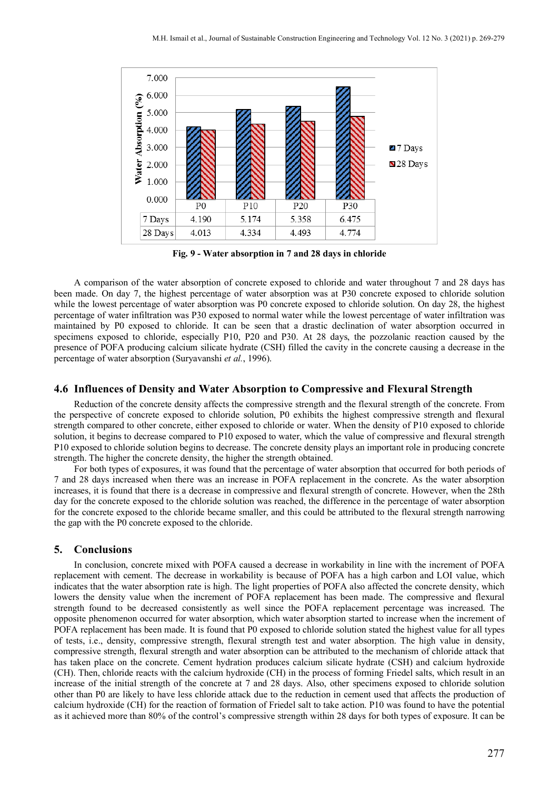

**Fig. 9 - Water absorption in 7 and 28 days in chloride**

A comparison of the water absorption of concrete exposed to chloride and water throughout 7 and 28 days has been made. On day 7, the highest percentage of water absorption was at P30 concrete exposed to chloride solution while the lowest percentage of water absorption was P0 concrete exposed to chloride solution. On day 28, the highest percentage of water infiltration was P30 exposed to normal water while the lowest percentage of water infiltration was maintained by P0 exposed to chloride. It can be seen that a drastic declination of water absorption occurred in specimens exposed to chloride, especially P10, P20 and P30. At 28 days, the pozzolanic reaction caused by the presence of POFA producing calcium silicate hydrate (CSH) filled the cavity in the concrete causing a decrease in the percentage of water absorption (Suryavanshi *et al.*, 1996).

# **4.6 Influences of Density and Water Absorption to Compressive and Flexural Strength**

Reduction of the concrete density affects the compressive strength and the flexural strength of the concrete. From the perspective of concrete exposed to chloride solution, P0 exhibits the highest compressive strength and flexural strength compared to other concrete, either exposed to chloride or water. When the density of P10 exposed to chloride solution, it begins to decrease compared to P10 exposed to water, which the value of compressive and flexural strength P10 exposed to chloride solution begins to decrease. The concrete density plays an important role in producing concrete strength. The higher the concrete density, the higher the strength obtained.

For both types of exposures, it was found that the percentage of water absorption that occurred for both periods of 7 and 28 days increased when there was an increase in POFA replacement in the concrete. As the water absorption increases, it is found that there is a decrease in compressive and flexural strength of concrete. However, when the 28th day for the concrete exposed to the chloride solution was reached, the difference in the percentage of water absorption for the concrete exposed to the chloride became smaller, and this could be attributed to the flexural strength narrowing the gap with the P0 concrete exposed to the chloride.

# **5. Conclusions**

In conclusion, concrete mixed with POFA caused a decrease in workability in line with the increment of POFA replacement with cement. The decrease in workability is because of POFA has a high carbon and LOI value, which indicates that the water absorption rate is high. The light properties of POFA also affected the concrete density, which lowers the density value when the increment of POFA replacement has been made. The compressive and flexural strength found to be decreased consistently as well since the POFA replacement percentage was increased. The opposite phenomenon occurred for water absorption, which water absorption started to increase when the increment of POFA replacement has been made. It is found that P0 exposed to chloride solution stated the highest value for all types of tests, i.e., density, compressive strength, flexural strength test and water absorption. The high value in density, compressive strength, flexural strength and water absorption can be attributed to the mechanism of chloride attack that has taken place on the concrete. Cement hydration produces calcium silicate hydrate (CSH) and calcium hydroxide (CH). Then, chloride reacts with the calcium hydroxide (CH) in the process of forming Friedel salts, which result in an increase of the initial strength of the concrete at 7 and 28 days. Also, other specimens exposed to chloride solution other than P0 are likely to have less chloride attack due to the reduction in cement used that affects the production of calcium hydroxide (CH) for the reaction of formation of Friedel salt to take action. P10 was found to have the potential as it achieved more than 80% of the control's compressive strength within 28 days for both types of exposure. It can be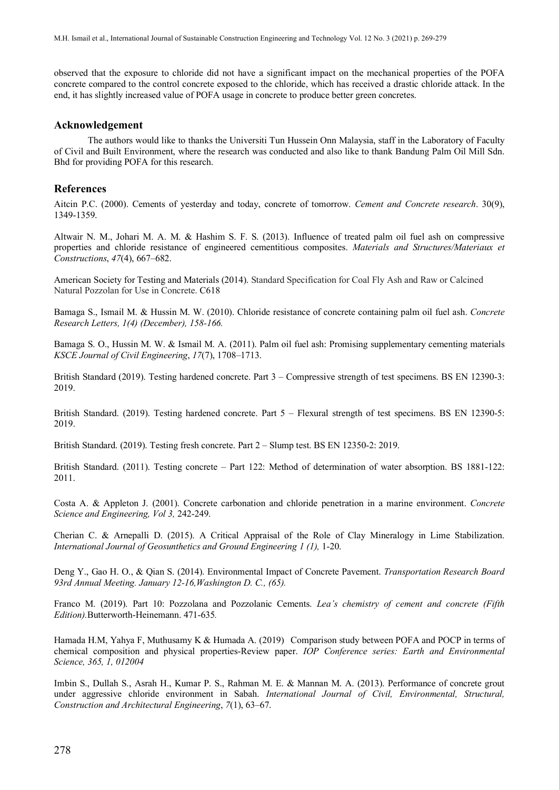observed that the exposure to chloride did not have a significant impact on the mechanical properties of the POFA concrete compared to the control concrete exposed to the chloride, which has received a drastic chloride attack. In the end, it has slightly increased value of POFA usage in concrete to produce better green concretes.

#### **Acknowledgement**

The authors would like to thanks the Universiti Tun Hussein Onn Malaysia, staff in the Laboratory of Faculty of Civil and Built Environment, where the research was conducted and also like to thank Bandung Palm Oil Mill Sdn. Bhd for providing POFA for this research.

#### **References**

Aitcin P.C. (2000). Cements of yesterday and today, concrete of tomorrow. *Cement and Concrete research*. 30(9), 1349-1359.

Altwair N. M., Johari M. A. M. & Hashim S. F. S. (2013). Influence of treated palm oil fuel ash on compressive properties and chloride resistance of engineered cementitious composites. *Materials and Structures/Materiaux et Constructions*, *47*(4), 667–682.

American Society for Testing and Materials (2014). Standard Specification for Coal Fly Ash and Raw or Calcined Natural Pozzolan for Use in Concrete. C618

Bamaga S., Ismail M. & Hussin M. W. (2010). Chloride resistance of concrete containing palm oil fuel ash. *Concrete Research Letters, 1(4) (December), 158-166.*

Bamaga S. O., Hussin M. W. & Ismail M. A. (2011). Palm oil fuel ash: Promising supplementary cementing materials *KSCE Journal of Civil Engineering*, *17*(7), 1708–1713.

British Standard (2019). Testing hardened concrete. Part 3 – Compressive strength of test specimens. BS EN 12390-3: 2019.

British Standard. (2019). Testing hardened concrete. Part 5 – Flexural strength of test specimens. BS EN 12390-5: 2019.

British Standard. (2019). Testing fresh concrete. Part 2 – Slump test. BS EN 12350-2: 2019.

British Standard. (2011). Testing concrete – Part 122: Method of determination of water absorption. BS 1881-122: 2011.

Costa A. & Appleton J. (2001). Concrete carbonation and chloride penetration in a marine environment. *Concrete Science and Engineering, Vol 3,* 242-249.

Cherian C. & Arnepalli D. (2015). A Critical Appraisal of the Role of Clay Mineralogy in Lime Stabilization. *International Journal of Geosunthetics and Ground Engineering 1 (1),* 1-20.

Deng Y., Gao H. O., & Qian S. (2014). Environmental Impact of Concrete Pavement. *Transportation Research Board 93rd Annual Meeting. January 12-16,Washington D. C., (65).*

Franco M. (2019). Part 10: Pozzolana and Pozzolanic Cements. *Lea's chemistry of cement and concrete (Fifth Edition).*Butterworth-Heinemann. 471-635*.*

Hamada H.M, Yahya F, Muthusamy K & Humada A. (2019) Comparison study between POFA and POCP in terms of chemical composition and physical properties-Review paper. *IOP Conference series: Earth and Environmental Science, 365, 1, 012004*

Imbin S., Dullah S., Asrah H., Kumar P. S., Rahman M. E. & Mannan M. A. (2013). Performance of concrete grout under aggressive chloride environment in Sabah. *International Journal of Civil, Environmental, Structural, Construction and Architectural Engineering*, *7*(1), 63–67.